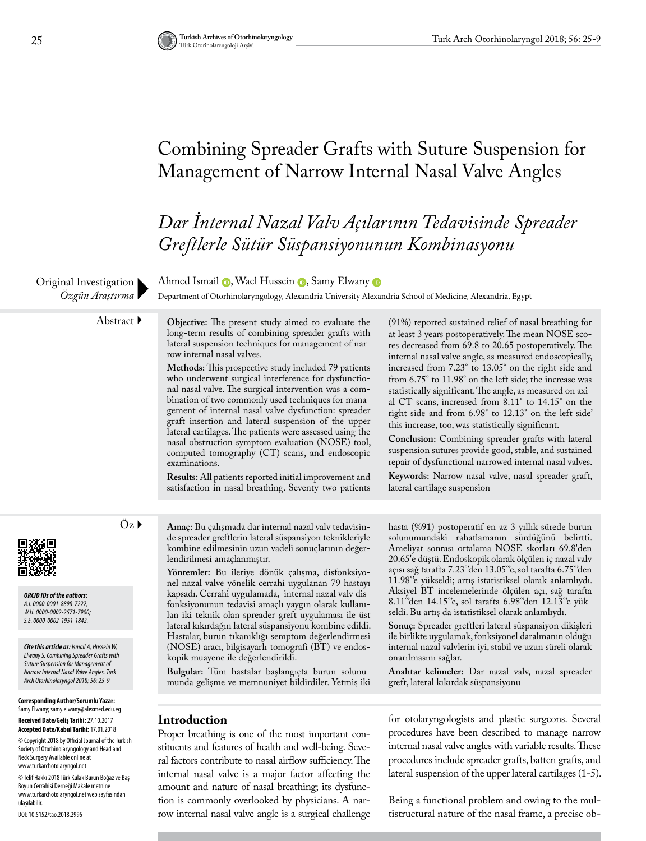# Combining Spreader Grafts with Suture Suspension for Management of Narrow Internal Nasal Valve Angles

*Dar İnternal Nazal Valv Açılarının Tedavisinde Spreader Greftlerle Sütür Süspansiyonunun Kombinasyonu* 

Original Investigation *Özgün Araştırma*

AhmedIsmail **D**, Wael Hussein **D**, Samy Elwany **D** 

Department of Otorhinolaryngology, Alexandria University Alexandria School of Medicine, Alexandria, Egypt

Abstract **Objective:** The present study aimed to evaluate the long-term results of combining spreader grafts with lateral suspension techniques for management of narrow internal nasal valves.

> **Methods:** This prospective study included 79 patients who underwent surgical interference for dysfunctional nasal valve. The surgical intervention was a combination of two commonly used techniques for management of internal nasal valve dysfunction: spreader graft insertion and lateral suspension of the upper lateral cartilages. The patients were assessed using the nasal obstruction symptom evaluation (NOSE) tool, computed tomography (CT) scans, and endoscopic examinations.

> **Results:** All patients reported initial improvement and satisfaction in nasal breathing. Seventy-two patients

(91%) reported sustained relief of nasal breathing for at least 3 years postoperatively. The mean NOSE scores decreased from 69.8 to 20.65 postoperatively. The internal nasal valve angle, as measured endoscopically, increased from 7.23° to 13.05° on the right side and from 6.75° to 11.98° on the left side; the increase was statistically significant. The angle, as measured on axial CT scans, increased from 8.11° to 14.15° on the right side and from 6.98° to 12.13° on the left side' this increase, too, was statistically significant.

**Conclusion:** Combining spreader grafts with lateral suspension sutures provide good, stable, and sustained repair of dysfunctional narrowed internal nasal valves.

**Keywords:** Narrow nasal valve, nasal spreader graft, lateral cartilage suspension

*ORCID IDs of the authors: A.I. 0000-0001-8898-7222; W.H. 0000-0002-2571-7900; S.E. 0000-0002-1951-1842.*

*Cite this article as: Ismail A, Hussein W, Elwany S. Combining Spreader Grafts with Suture Suspension for Management of Narrow Internal Nasal Valve Angles. Turk Arch Otorhinolaryngol 2018; 56: 25-9*

**Corresponding Author/Sorumlu Yazar:**  Samy Elwany; samy.elwany@alexmed.edu.eg **Received Date/Geliş Tarihi:** 27.10.2017 **Accepted Date/Kabul Tarihi:** 17.01.2018

© Copyright 2018 by Official Journal of the Turkish Society of Otorhinolaryngology and Head and Neck Surgery Available online at www.turkarchotolaryngol.net

© Telif Hakkı 2018 Türk Kulak Burun Boğaz ve Baş Boyun Cerrahisi Derneği Makale metnine www.turkarchotolaryngol.net web sayfasından ulaşılabilir.

DOI: 10.5152/tao.2018.2996

Öz **Amaç:** Bu çalışmada dar internal nazal valv tedavisinde spreader greftlerin lateral süspansiyon teknikleriyle kombine edilmesinin uzun vadeli sonuçlarının değerlendirilmesi amaçlanmıştır.

> **Yöntemler:** Bu ileriye dönük çalışma, disfonksiyonel nazal valve yönelik cerrahi uygulanan 79 hastayı kapsadı. Cerrahi uygulamada, internal nazal valv disfonksiyonunun tedavisi amaçlı yaygın olarak kullanılan iki teknik olan spreader greft uygulaması ile üst lateral kıkırdağın lateral süspansiyonu kombine edildi. Hastalar, burun tıkanıklığı semptom değerlendirmesi (NOSE) aracı, bilgisayarlı tomografi (BT) ve endoskopik muayene ile değerlendirildi.

**Bulgular:** Tüm hastalar başlangıçta burun solunumunda gelişme ve memnuniyet bildirdiler. Yetmiş iki

#### **Introduction**

Proper breathing is one of the most important constituents and features of health and well-being. Several factors contribute to nasal airflow sufficiency. The internal nasal valve is a major factor affecting the amount and nature of nasal breathing; its dysfunction is commonly overlooked by physicians. A narrow internal nasal valve angle is a surgical challenge hasta (%91) postoperatif en az 3 yıllık sürede burun solunumundaki rahatlamanın sürdüğünü belirtti. Ameliyat sonrası ortalama NOSE skorları 69.8'den 20.65'e düştü. Endoskopik olarak ölçülen iç nazal valv açısı sağ tarafta 7.23°'den 13.05°'e, sol tarafta 6.75°'den 11.98°'e yükseldi; artış istatistiksel olarak anlamlıydı. Aksiyel BT incelemelerinde ölçülen açı, sağ tarafta 8.11°'den 14.15°'e, sol tarafta 6.98°'den 12.13°'e yükseldi. Bu artış da istatistiksel olarak anlamlıydı.

**Sonuç:** Spreader greftleri lateral süspansiyon dikişleri ile birlikte uygulamak, fonksiyonel daralmanın olduğu internal nazal valvlerin iyi, stabil ve uzun süreli olarak onarılmasını sağlar.

**Anahtar kelimeler:** Dar nazal valv, nazal spreader greft, lateral kıkırdak süspansiyonu

for otolaryngologists and plastic surgeons. Several procedures have been described to manage narrow internal nasal valve angles with variable results. These procedures include spreader grafts, batten grafts, and lateral suspension of the upper lateral cartilages (1-5).

Being a functional problem and owing to the multistructural nature of the nasal frame, a precise ob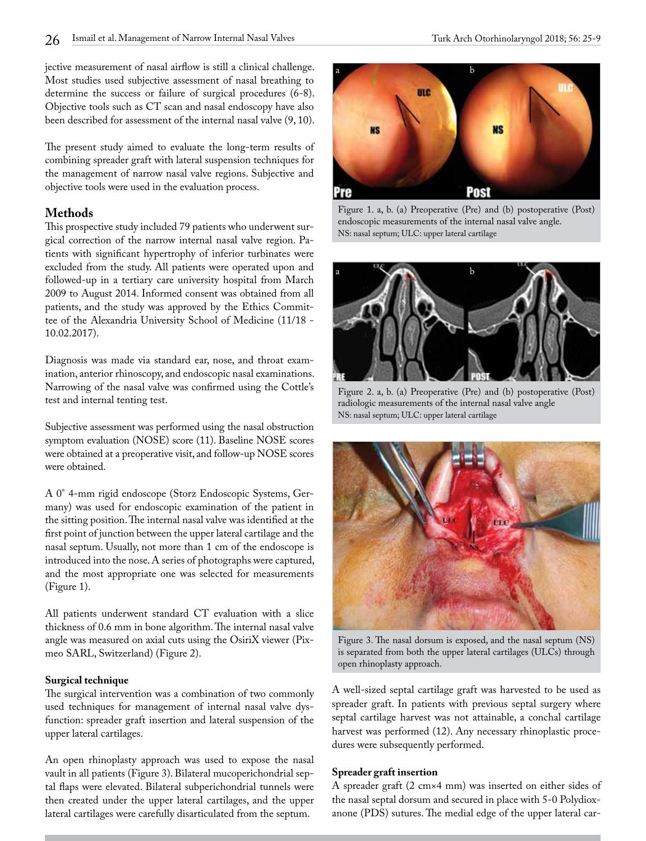jective measurement of nasal airflow is still a clinical challenge. Most studies used subjective assessment of nasal breathing to determine the success or failure of surgical procedures (6-8). Objective tools such as CT scan and nasal endoscopy have also been described for assessment of the internal nasal valve (9, 10).

The present study aimed to evaluate the long-term results of combining spreader graft with lateral suspension techniques for the management of narrow nasal valve regions. Subjective and objective tools were used in the evaluation process.

#### **Methods**

This prospective study included 79 patients who underwent surgical correction of the narrow internal nasal valve region. Patients with significant hypertrophy of inferior turbinates were excluded from the study. All patients were operated upon and followed-up in a tertiary care university hospital from March 2009 to August 2014. Informed consent was obtained from all patients, and the study was approved by the Ethics Committee of the Alexandria University School of Medicine (11/18 - 10.02.2017).

Diagnosis was made via standard ear, nose, and throat examination, anterior rhinoscopy, and endoscopic nasal examinations. Narrowing of the nasal valve was confirmed using the Cottle's test and internal tenting test.

Subjective assessment was performed using the nasal obstruction symptom evaluation (NOSE) score (11). Baseline NOSE scores were obtained at a preoperative visit, and follow-up NOSE scores were obtained.

A 0° 4-mm rigid endoscope (Storz Endoscopic Systems, Germany) was used for endoscopic examination of the patient in the sitting position. The internal nasal valve was identified at the first point of junction between the upper lateral cartilage and the nasal septum. Usually, not more than 1 cm of the endoscope is introduced into the nose. A series of photographs were captured, and the most appropriate one was selected for measurements (Figure 1).

All patients underwent standard CT evaluation with a slice thickness of 0.6 mm in bone algorithm. The internal nasal valve angle was measured on axial cuts using the OsiriX viewer (Pixmeo SARL, Switzerland) (Figure 2).

#### **Surgical technique**

The surgical intervention was a combination of two commonly used techniques for management of internal nasal valve dysfunction: spreader graft insertion and lateral suspension of the upper lateral cartilages.

An open rhinoplasty approach was used to expose the nasal vault in all patients (Figure 3). Bilateral mucoperichondrial septal flaps were elevated. Bilateral subperichondrial tunnels were then created under the upper lateral cartilages, and the upper lateral cartilages were carefully disarticulated from the septum.



Figure 1. a, b. (a) Preoperative (Pre) and (b) postoperative (Post) endoscopic measurements of the internal nasal valve angle. NS: nasal septum; ULC: upper lateral cartilage



Figure 2. a, b. (a) Preoperative (Pre) and (b) postoperative (Post) radiologic measurements of the internal nasal valve angle NS: nasal septum; ULC: upper lateral cartilage



Figure 3. The nasal dorsum is exposed, and the nasal septum (NS) is separated from both the upper lateral cartilages (ULCs) through open rhinoplasty approach.

A well-sized septal cartilage graft was harvested to be used as spreader graft. In patients with previous septal surgery where septal cartilage harvest was not attainable, a conchal cartilage harvest was performed (12). Any necessary rhinoplastic procedures were subsequently performed.

#### **Spreader graft insertion**

A spreader graft (2 cm×4 mm) was inserted on either sides of the nasal septal dorsum and secured in place with 5-0 Polydioxanone (PDS) sutures. The medial edge of the upper lateral car-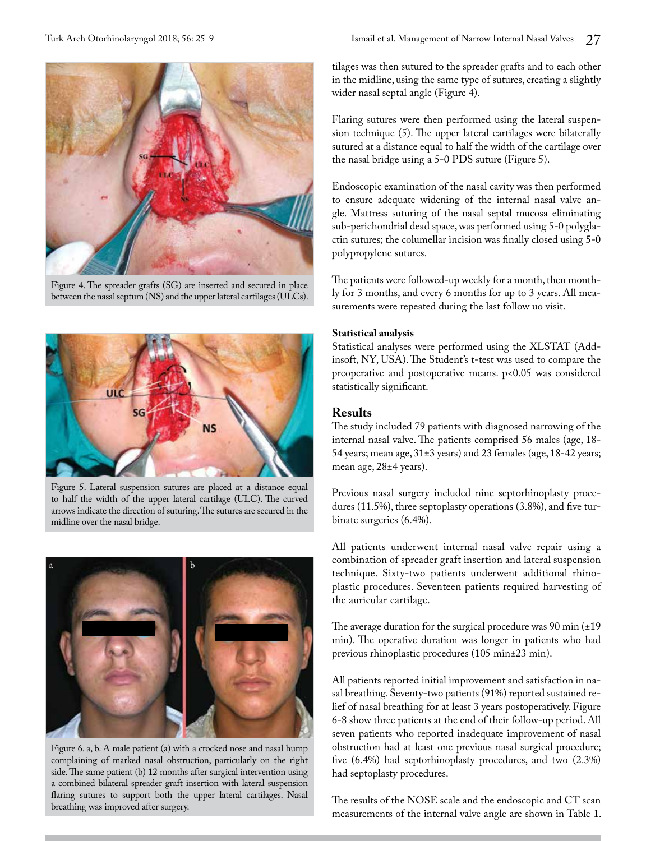

Figure 4. The spreader grafts (SG) are inserted and secured in place between the nasal septum (NS) and the upper lateral cartilages (ULCs).



Figure 5. Lateral suspension sutures are placed at a distance equal to half the width of the upper lateral cartilage (ULC). The curved arrows indicate the direction of suturing. The sutures are secured in the midline over the nasal bridge.



Figure 6. a, b. A male patient (a) with a crocked nose and nasal hump complaining of marked nasal obstruction, particularly on the right side. The same patient (b) 12 months after surgical intervention using a combined bilateral spreader graft insertion with lateral suspension flaring sutures to support both the upper lateral cartilages. Nasal breathing was improved after surgery.

tilages was then sutured to the spreader grafts and to each other in the midline, using the same type of sutures, creating a slightly wider nasal septal angle (Figure 4).

Flaring sutures were then performed using the lateral suspension technique (5). The upper lateral cartilages were bilaterally sutured at a distance equal to half the width of the cartilage over the nasal bridge using a 5-0 PDS suture (Figure 5).

Endoscopic examination of the nasal cavity was then performed to ensure adequate widening of the internal nasal valve angle. Mattress suturing of the nasal septal mucosa eliminating sub-perichondrial dead space, was performed using 5-0 polyglactin sutures; the columellar incision was finally closed using 5-0 polypropylene sutures.

The patients were followed-up weekly for a month, then monthly for 3 months, and every 6 months for up to 3 years. All measurements were repeated during the last follow uo visit.

### **Statistical analysis**

Statistical analyses were performed using the XLSTAT (Addinsoft, NY, USA). The Student's t-test was used to compare the preoperative and postoperative means. p<0.05 was considered statistically significant.

## **Results**

The study included 79 patients with diagnosed narrowing of the internal nasal valve. The patients comprised 56 males (age, 18- 54 years; mean age, 31±3 years) and 23 females (age, 18-42 years; mean age, 28±4 years).

Previous nasal surgery included nine septorhinoplasty procedures (11.5%), three septoplasty operations (3.8%), and five turbinate surgeries (6.4%).

All patients underwent internal nasal valve repair using a combination of spreader graft insertion and lateral suspension technique. Sixty-two patients underwent additional rhinoplastic procedures. Seventeen patients required harvesting of the auricular cartilage.

The average duration for the surgical procedure was 90 min (±19 min). The operative duration was longer in patients who had previous rhinoplastic procedures (105 min±23 min).

All patients reported initial improvement and satisfaction in nasal breathing. Seventy-two patients (91%) reported sustained relief of nasal breathing for at least 3 years postoperatively. Figure 6-8 show three patients at the end of their follow-up period. All seven patients who reported inadequate improvement of nasal obstruction had at least one previous nasal surgical procedure; five (6.4%) had septorhinoplasty procedures, and two (2.3%) had septoplasty procedures.

The results of the NOSE scale and the endoscopic and CT scan measurements of the internal valve angle are shown in Table 1.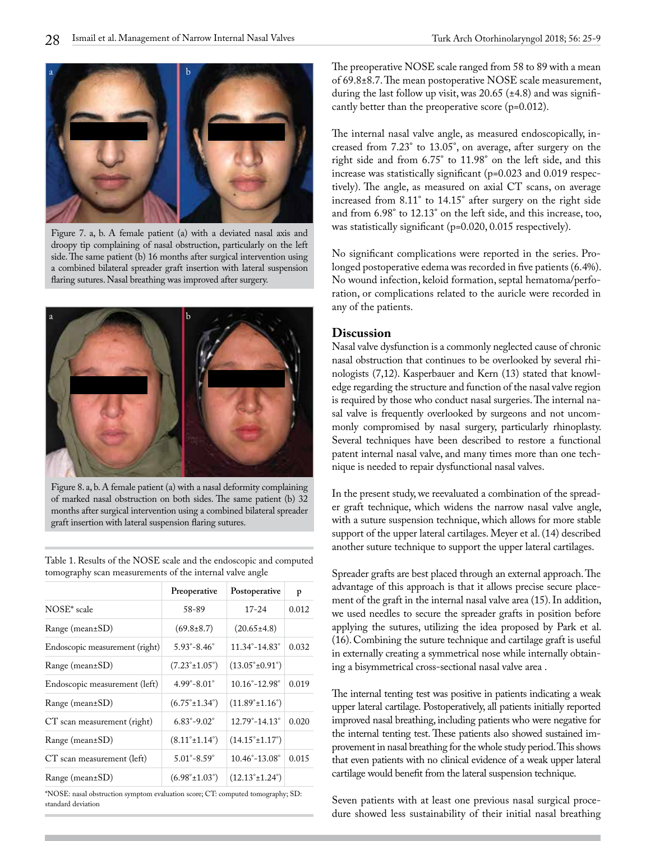

Figure 7. a, b. A female patient (a) with a deviated nasal axis and droopy tip complaining of nasal obstruction, particularly on the left side. The same patient (b) 16 months after surgical intervention using a combined bilateral spreader graft insertion with lateral suspension flaring sutures. Nasal breathing was improved after surgery.



Figure 8. a, b. A female patient (a) with a nasal deformity complaining of marked nasal obstruction on both sides. The same patient (b) 32 months after surgical intervention using a combined bilateral spreader graft insertion with lateral suspension flaring sutures.

Table 1. Results of the NOSE scale and the endoscopic and computed tomography scan measurements of the internal valve angle

|                                | Preoperative                      | Postoperative                      | p     |
|--------------------------------|-----------------------------------|------------------------------------|-------|
| NOSE <sup>*</sup> scale        | 58-89                             | $17 - 24$                          | 0.012 |
| $Range (mean \pm SD)$          | $(69.8 \pm 8.7)$                  | $(20.65 \pm 4.8)$                  |       |
| Endoscopic measurement (right) | $5.93^{\circ} - 8.46^{\circ}$     | $11.34^{\circ} - 14.83^{\circ}$    | 0.032 |
| $Range (mean \pm SD)$          | $(7.23^{\circ} \pm 1.05^{\circ})$ | $(13.05^{\circ} \pm 0.91^{\circ})$ |       |
| Endoscopic measurement (left)  | $4.99^{\circ} - 8.01^{\circ}$     | $10.16^{\circ} - 12.98^{\circ}$    | 0.019 |
| $Range (mean \pm SD)$          | $(6.75^{\circ} \pm 1.34^{\circ})$ | $(11.89^{\circ} \pm 1.16^{\circ})$ |       |
| CT scan measurement (right)    | $6.83^{\circ} - 9.02^{\circ}$     | $12.79^{\circ} - 14.13^{\circ}$    | 0.020 |
| $Range (mean \pm SD)$          | $(8.11^{\circ} \pm 1.14^{\circ})$ | $(14.15^{\circ} \pm 1.17^{\circ})$ |       |
| CT scan measurement (left)     | $5.01^{\circ} - 8.59^{\circ}$     | $10.46^{\circ} - 13.08^{\circ}$    | 0.015 |
| $Range (mean \pm SD)$          | $(6.98^{\circ} \pm 1.03^{\circ})$ | $(12.13^{\circ} \pm 1.24^{\circ})$ |       |

\*NOSE: nasal obstruction symptom evaluation score; CT: computed tomography; SD: standard deviation

The preoperative NOSE scale ranged from 58 to 89 with a mean of 69.8±8.7. The mean postoperative NOSE scale measurement, during the last follow up visit, was  $20.65$  ( $\pm$ 4.8) and was significantly better than the preoperative score (p=0.012).

The internal nasal valve angle, as measured endoscopically, increased from 7.23° to 13.05°, on average, after surgery on the right side and from 6.75° to 11.98° on the left side, and this increase was statistically significant (p=0.023 and 0.019 respectively). The angle, as measured on axial CT scans, on average increased from 8.11° to 14.15° after surgery on the right side and from 6.98° to 12.13° on the left side, and this increase, too, was statistically significant (p=0.020, 0.015 respectively).

No significant complications were reported in the series. Prolonged postoperative edema was recorded in five patients (6.4%). No wound infection, keloid formation, septal hematoma/perforation, or complications related to the auricle were recorded in any of the patients.

#### **Discussion**

Nasal valve dysfunction is a commonly neglected cause of chronic nasal obstruction that continues to be overlooked by several rhinologists (7,12). Kasperbauer and Kern (13) stated that knowledge regarding the structure and function of the nasal valve region is required by those who conduct nasal surgeries. The internal nasal valve is frequently overlooked by surgeons and not uncommonly compromised by nasal surgery, particularly rhinoplasty. Several techniques have been described to restore a functional patent internal nasal valve, and many times more than one technique is needed to repair dysfunctional nasal valves.

In the present study, we reevaluated a combination of the spreader graft technique, which widens the narrow nasal valve angle, with a suture suspension technique, which allows for more stable support of the upper lateral cartilages. Meyer et al. (14) described another suture technique to support the upper lateral cartilages.

Spreader grafts are best placed through an external approach. The advantage of this approach is that it allows precise secure placement of the graft in the internal nasal valve area (15). In addition, we used needles to secure the spreader grafts in position before applying the sutures, utilizing the idea proposed by Park et al. (16). Combining the suture technique and cartilage graft is useful in externally creating a symmetrical nose while internally obtaining a bisymmetrical cross-sectional nasal valve area .

The internal tenting test was positive in patients indicating a weak upper lateral cartilage. Postoperatively, all patients initially reported improved nasal breathing, including patients who were negative for the internal tenting test. These patients also showed sustained improvement in nasal breathing for the whole study period. This shows that even patients with no clinical evidence of a weak upper lateral cartilage would benefit from the lateral suspension technique.

Seven patients with at least one previous nasal surgical procedure showed less sustainability of their initial nasal breathing